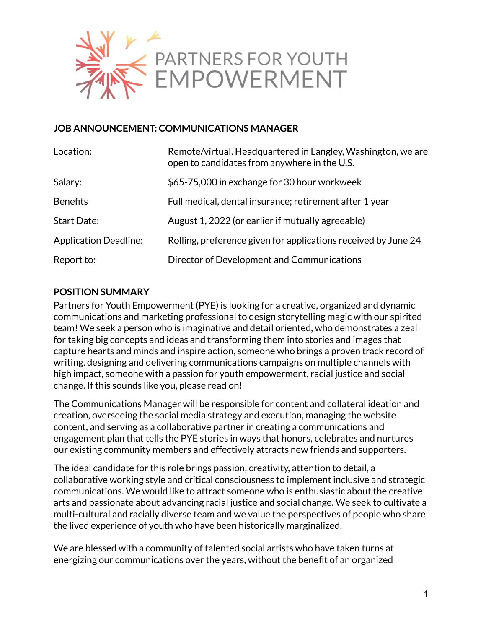

### **JOB ANNOUNCEMENT: COMMUNICATIONS MANAGER**

| Location:                    | Remote/virtual. Headquartered in Langley, Washington, we are<br>open to candidates from anywhere in the U.S. |
|------------------------------|--------------------------------------------------------------------------------------------------------------|
| Salary:                      | \$65-75,000 in exchange for 30 hour workweek                                                                 |
| <b>Benefits</b>              | Full medical, dental insurance; retirement after 1 year                                                      |
| <b>Start Date:</b>           | August 1, 2022 (or earlier if mutually agreeable)                                                            |
| <b>Application Deadline:</b> | Rolling, preference given for applications received by June 24                                               |
| Report to:                   | Director of Development and Communications                                                                   |

### **POSITION SUMMARY**

Partners for Youth Empowerment (PYE) is looking for a creative, organized and dynamic communications and marketing professional to design storytelling magic with our spirited team! We seek a person who is imaginative and detail oriented, who demonstrates a zeal for taking big concepts and ideas and transforming them into stories and images that capture hearts and minds and inspire action, someone who brings a proven track record of writing, designing and delivering communications campaigns on multiple channels with high impact, someone with a passion for youth empowerment, racial justice and social change. If this sounds like you, please read on!

The Communications Manager will be responsible for content and collateral ideation and creation, overseeing the social media strategy and execution, managing the website content, and serving as a collaborative partner in creating a communications and engagement plan that tells the PYE stories in ways that honors, celebrates and nurtures our existing community members and effectively attracts new friends and supporters.

The ideal candidate for this role brings passion, creativity, attention to detail, a collaborative working style and critical consciousness to implement inclusive and strategic communications. We would like to attract someone who is enthusiastic about the creative arts and passionate about advancing racial justice and social change. We seek to cultivate a multi-cultural and racially diverse team and we value the perspectives of people who share the lived experience of youth who have been historically marginalized.

We are blessed with a community of talented social artists who have taken turns at energizing our communications over the years, without the benefit of an organized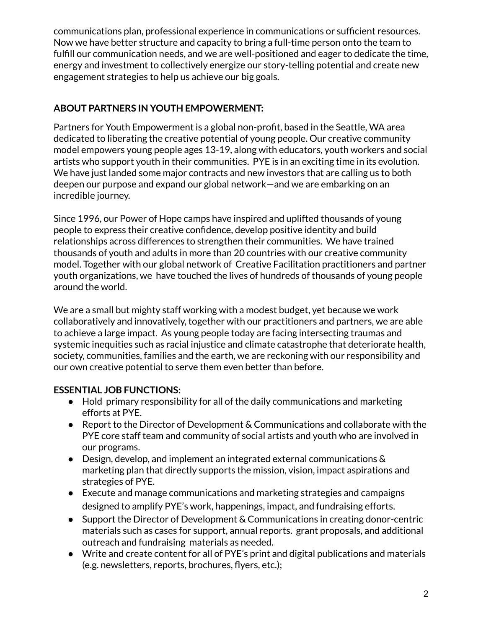communications plan, professional experience in communications or sufficient resources. Now we have better structure and capacity to bring a full-time person onto the team to fulfill our communication needs, and we are well-positioned and eager to dedicate the time, energy and investment to collectively energize our story-telling potential and create new engagement strategies to help us achieve our big goals.

## **ABOUT PARTNERS IN YOUTH EMPOWERMENT:**

Partners for Youth Empowerment is a global non-profit, based in the Seattle, WA area dedicated to liberating the creative potential of young people. Our creative community model empowers young people ages 13-19, along with educators, youth workers and social artists who support youth in their communities. PYE is in an exciting time in its evolution. We have just landed some major contracts and new investors that are calling us to both deepen our purpose and expand our global network—and we are embarking on an incredible journey.

Since 1996, our Power of Hope camps have inspired and uplifted thousands of young people to express their creative confidence, develop positive identity and build relationships across differences to strengthen their communities. We have trained thousands of youth and adults in more than 20 countries with our creative community model. Together with our global network of Creative Facilitation practitioners and partner youth organizations, we have touched the lives of hundreds of thousands of young people around the world.

We are a small but mighty staff working with a modest budget, yet because we work collaboratively and innovatively, together with our practitioners and partners, we are able to achieve a large impact. As young people today are facing intersecting traumas and systemic inequities such as racial injustice and climate catastrophe that deteriorate health, society, communities, families and the earth, we are reckoning with our responsibility and our own creative potential to serve them even better than before.

# **ESSENTIAL JOB FUNCTIONS:**

- Hold primary responsibility for all of the daily communications and marketing efforts at PYE.
- Report to the Director of Development & Communications and collaborate with the PYE core staff team and community of social artists and youth who are involved in our programs.
- Design, develop, and implement an integrated external communications & marketing plan that directly supports the mission, vision, impact aspirations and strategies of PYE.
- Execute and manage communications and marketing strategies and campaigns designed to amplify PYE's work, happenings, impact, and fundraising efforts.
- Support the Director of Development & Communications in creating donor-centric materials such as cases for support, annual reports. grant proposals, and additional outreach and fundraising materials as needed.
- Write and create content for all of PYE's print and digital publications and materials (e.g. newsletters, reports, brochures, flyers, etc.);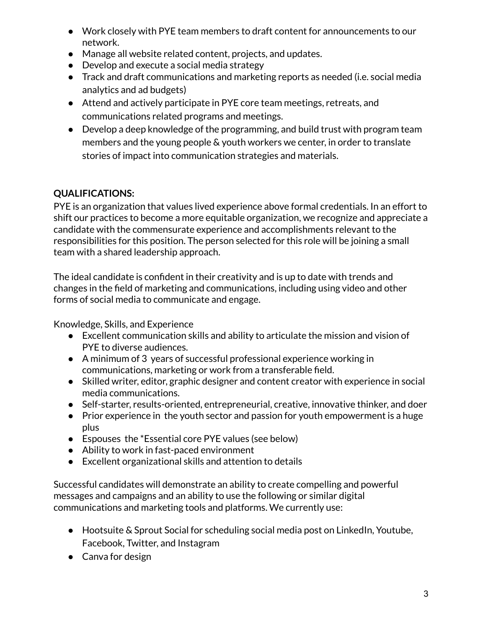- Work closely with PYE team members to draft content for announcements to our network.
- Manage all website related content, projects, and updates.
- Develop and execute a social media strategy
- Track and draft communications and marketing reports as needed (i.e. social media analytics and ad budgets)
- Attend and actively participate in PYE core team meetings, retreats, and communications related programs and meetings.
- Develop a deep knowledge of the programming, and build trust with program team members and the young people & youth workers we center, in order to translate stories of impact into communication strategies and materials.

# **QUALIFICATIONS:**

PYE is an organization that values lived experience above formal credentials. In an effort to shift our practices to become a more equitable organization, we recognize and appreciate a candidate with the commensurate experience and accomplishments relevant to the responsibilities for this position. The person selected for this role will be joining a small team with a shared leadership approach.

The ideal candidate is confident in their creativity and is up to date with trends and changes in the field of marketing and communications, including using video and other forms of social media to communicate and engage.

Knowledge, Skills, and Experience

- Excellent communication skills and ability to articulate the mission and vision of PYE to diverse audiences.
- A minimum of 3 years of successful professional experience working in communications, marketing or work from a transferable field.
- Skilled writer, editor, graphic designer and content creator with experience in social media communications.
- Self-starter, results-oriented, entrepreneurial, creative, innovative thinker, and doer
- Prior experience in the youth sector and passion for youth empowerment is a huge plus
- Espouses the \*Essential core PYE values (see below)
- Ability to work in fast-paced environment
- Excellent organizational skills and attention to details

Successful candidates will demonstrate an ability to create compelling and powerful messages and campaigns and an ability to use the following or similar digital communications and marketing tools and platforms. We currently use:

- Hootsuite & Sprout Social for scheduling social media post on LinkedIn, Youtube, Facebook, Twitter, and Instagram
- Canva for design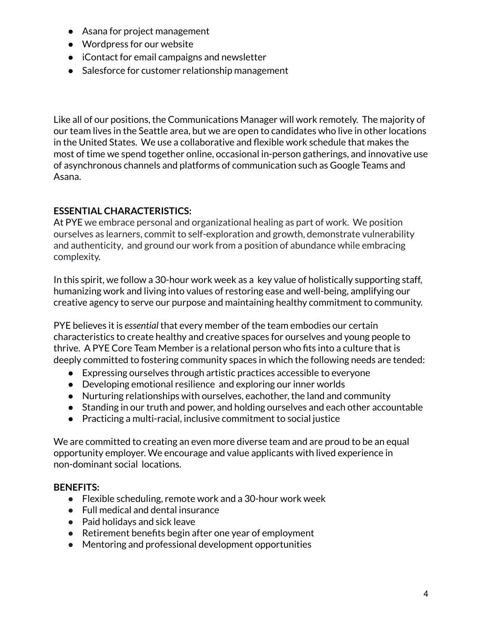- Asana for project management
- Wordpress for our website
- iContact for email campaigns and newsletter
- Salesforce for customer relationship management

Like all of our positions, the Communications Manager will work remotely. The majority of our team lives in the Seattle area, but we are open to candidates who live in other locations in the United States. We use a collaborative and flexible work schedule that makes the most of time we spend together online, occasional in-person gatherings, and innovative use of asynchronous channels and platforms of communication such as Google Teams and Asana.

### **ESSENTIAL CHARACTERISTICS:**

At PYE we embrace personal and organizational healing as part of work. We position ourselves as learners, commit to self-exploration and growth, demonstrate vulnerability and authenticity, and ground our work from a position of abundance while embracing complexity.

In this spirit, we follow a 30-hour work week as a key value of holistically supporting staff, humanizing work and living into values of restoring ease and well-being, amplifying our creative agency to serve our purpose and maintaining healthy commitment to community.

PYE believes it is *essential* that every member of the team embodies our certain characteristics to create healthy and creative spaces for ourselves and young people to thrive. A PYE Core Team Member is a relational person who fits into a culture that is deeply committed to fostering community spaces in which the following needs are tended:

- Expressing ourselves through artistic practices accessible to everyone
- Developing emotional resilience and exploring our inner worlds
- Nurturing relationships with ourselves, eachother, the land and community
- Standing in our truth and power, and holding ourselves and each other accountable
- Practicing a multi-racial, inclusive commitment to social justice

We are committed to creating an even more diverse team and are proud to be an equal opportunity employer. We encourage and value applicants with lived experience in non-dominant social locations.

#### **BENEFITS:**

- Flexible scheduling, remote work and a 30-hour work week
- Full medical and dental insurance
- Paid holidays and sick leave
- Retirement benefits begin after one year of employment
- Mentoring and professional development opportunities